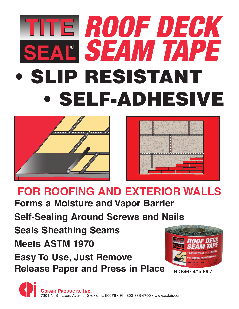## **• SLIP RESISTANT • SELF-ADHESIVE SEAL**<sup>W</sup> *SEAM TAPE ROOF DECK*





### **FOR ROOFING AND EXTERIOR WALLS**

**Forms a Moisture and Vapor Barrier**

**Self-Sealing Around Screws and Nails**

**Seals Sheathing Seams Meets ASTM 1970**

**Easy To Use, Just Remove Release Paper and Press in Place**



**RDS467 4" x 66.7'**

**COFAIR PRODUCTS, INC.** 7301 N. ST. LOUIS AVENUE, Skokie, IL 60076 • Ph: 800-333-6700 • www.cofair.com